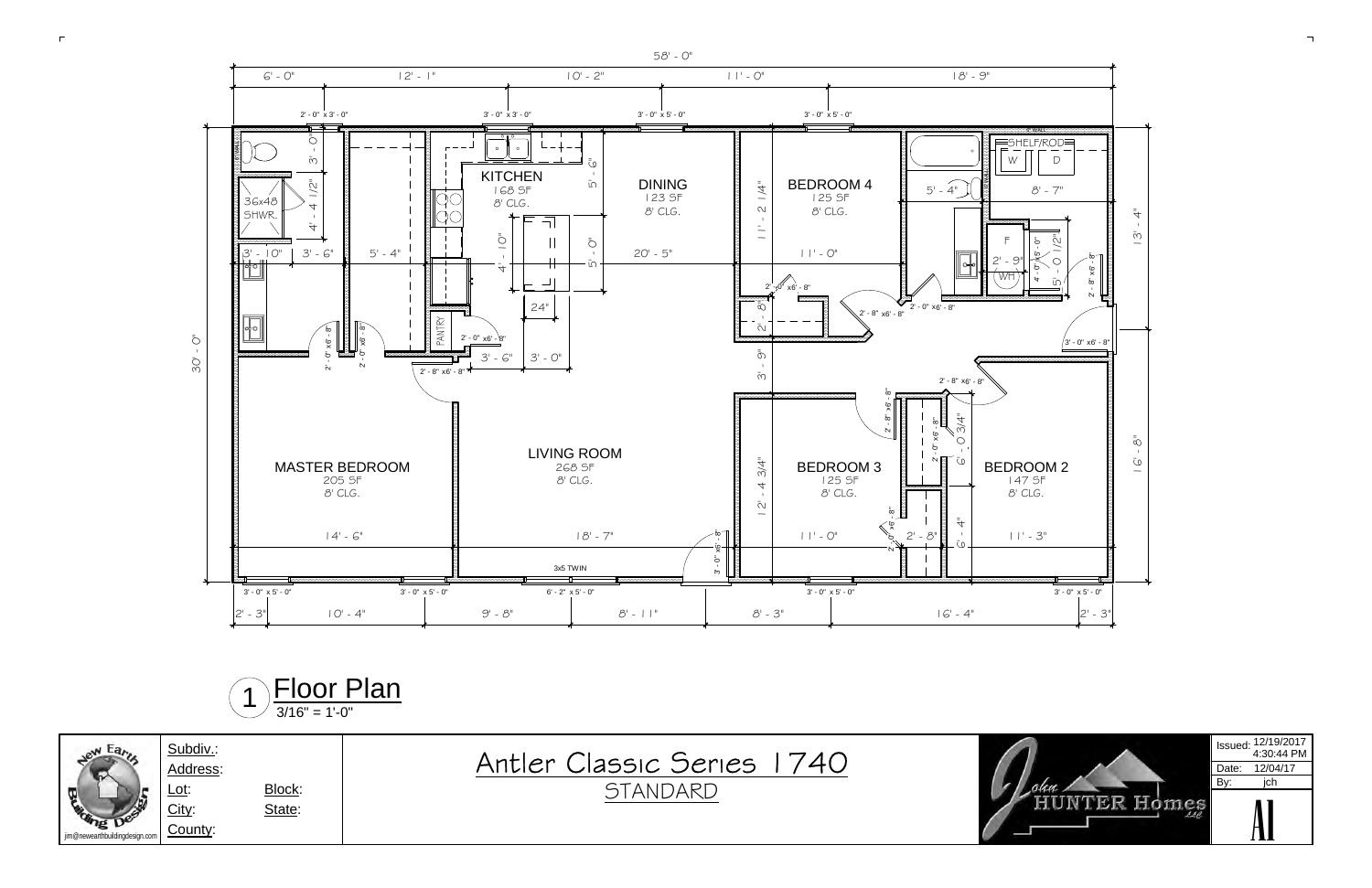







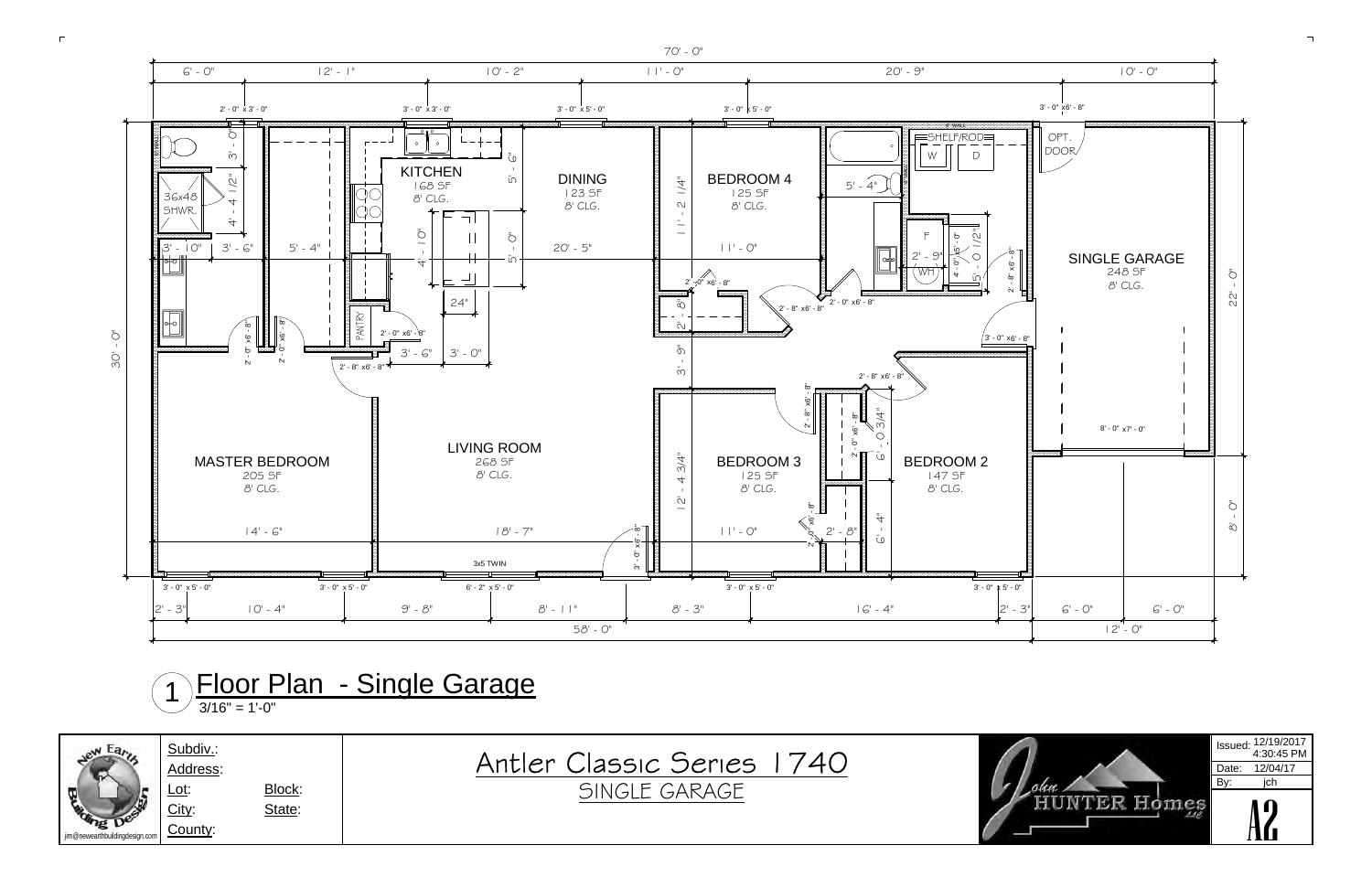







3/16" = 1'-0"1Floor Plan - Single Garage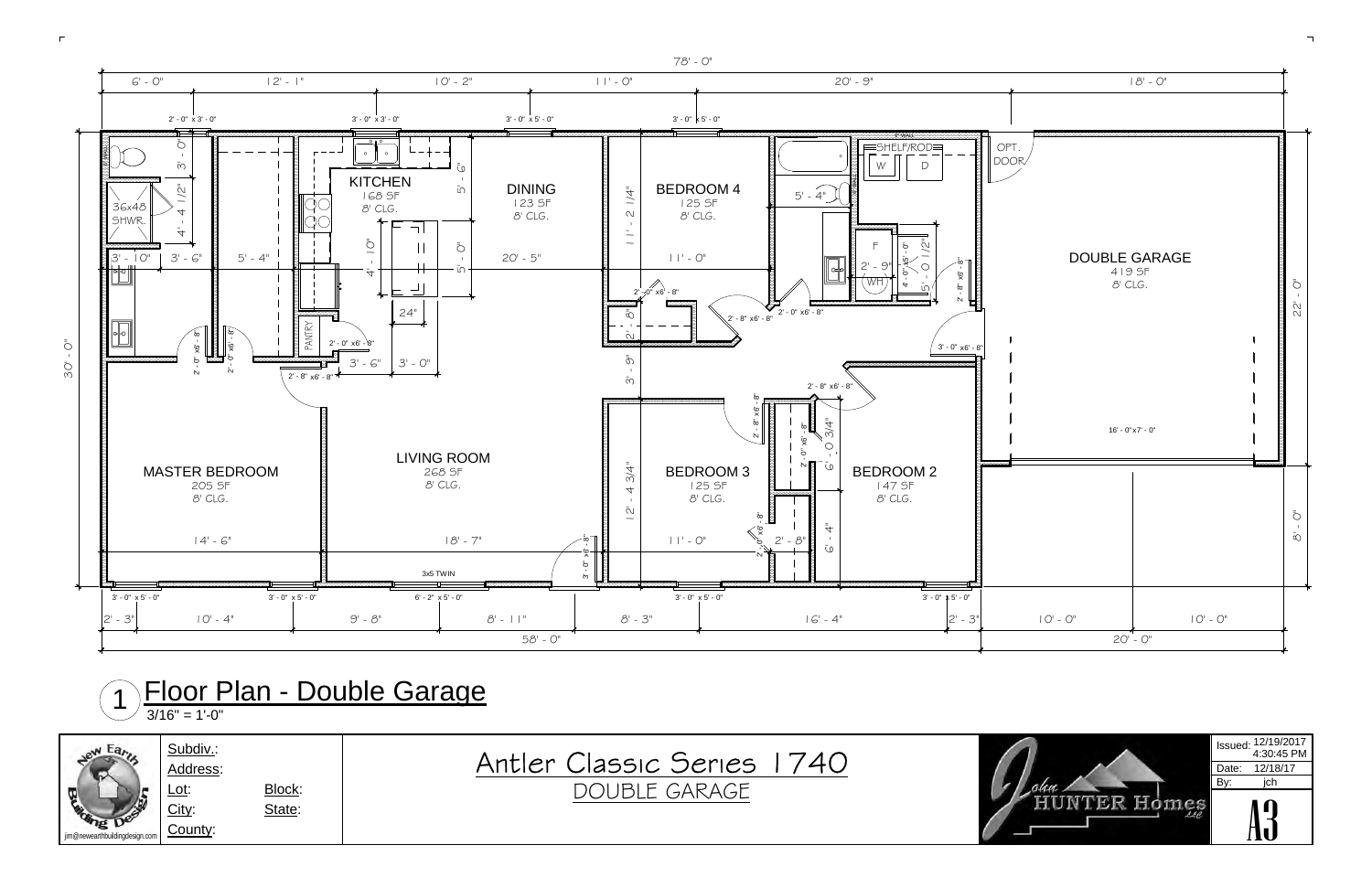





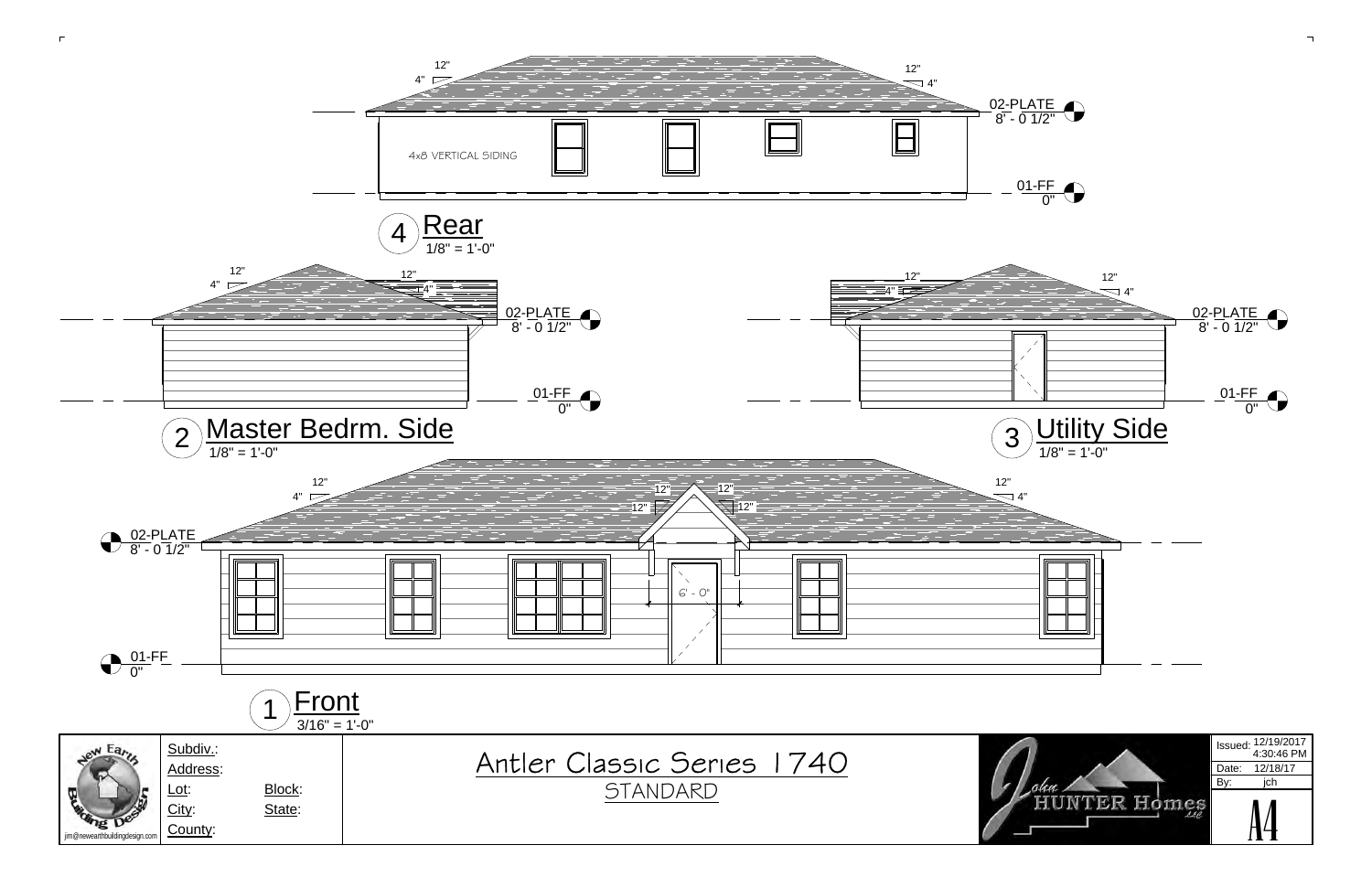

 $\Gamma$ 

 $\Box$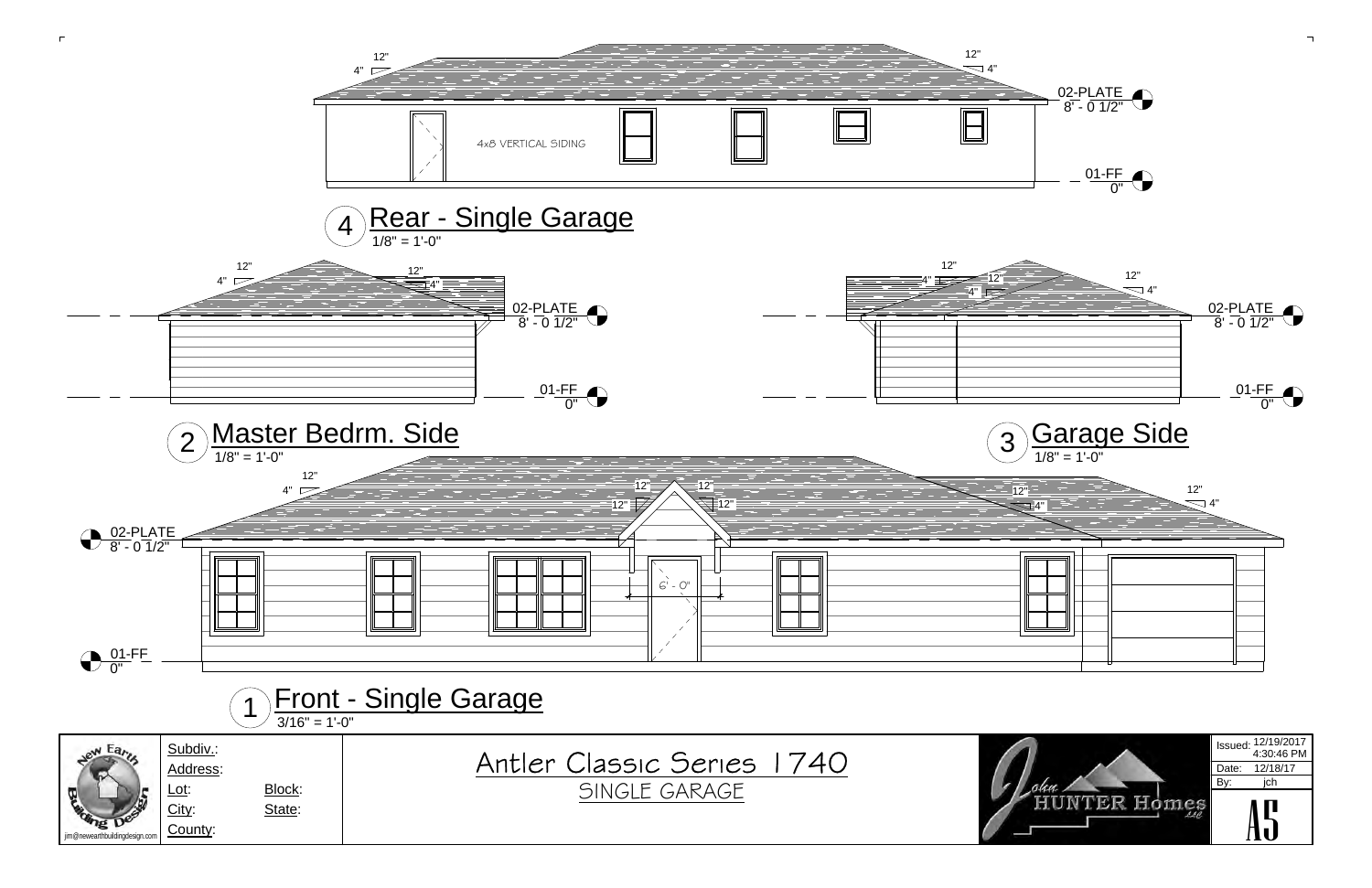